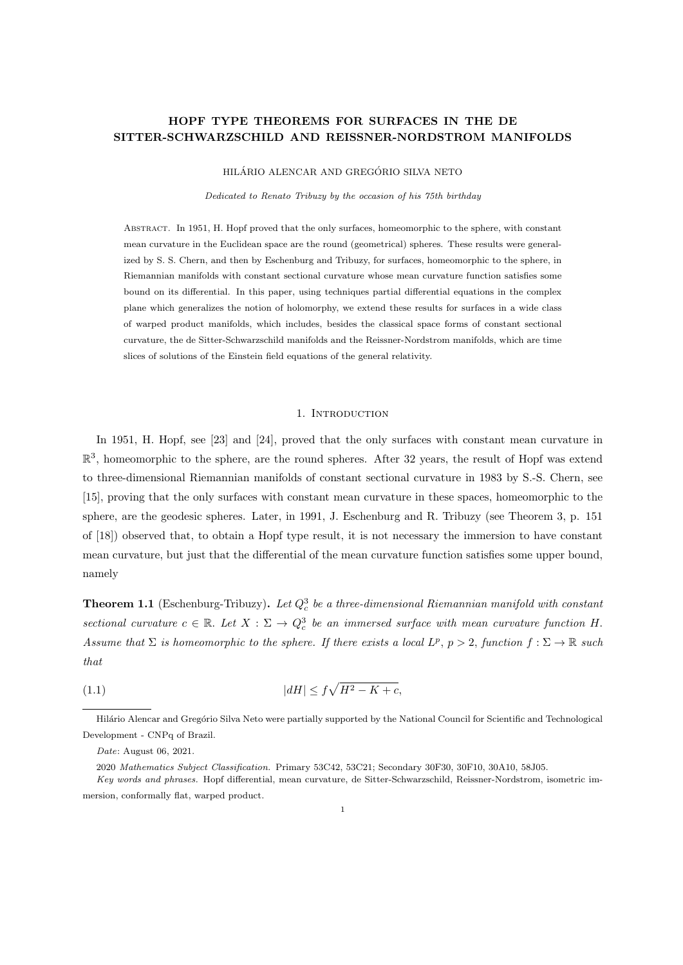# HOPF TYPE THEOREMS FOR SURFACES IN THE DE SITTER-SCHWARZSCHILD AND REISSNER-NORDSTROM MANIFOLDS

HILÁRIO ALENCAR AND GREGÓRIO SILVA NETO

Dedicated to Renato Tribuzy by the occasion of his 75th birthday

Abstract. In 1951, H. Hopf proved that the only surfaces, homeomorphic to the sphere, with constant mean curvature in the Euclidean space are the round (geometrical) spheres. These results were generalized by S. S. Chern, and then by Eschenburg and Tribuzy, for surfaces, homeomorphic to the sphere, in Riemannian manifolds with constant sectional curvature whose mean curvature function satisfies some bound on its differential. In this paper, using techniques partial differential equations in the complex plane which generalizes the notion of holomorphy, we extend these results for surfaces in a wide class of warped product manifolds, which includes, besides the classical space forms of constant sectional curvature, the de Sitter-Schwarzschild manifolds and the Reissner-Nordstrom manifolds, which are time slices of solutions of the Einstein field equations of the general relativity.

#### 1. INTRODUCTION

In 1951, H. Hopf, see [23] and [24], proved that the only surfaces with constant mean curvature in  $\mathbb{R}^3$ , homeomorphic to the sphere, are the round spheres. After 32 years, the result of Hopf was extend to three-dimensional Riemannian manifolds of constant sectional curvature in 1983 by S.-S. Chern, see [15], proving that the only surfaces with constant mean curvature in these spaces, homeomorphic to the sphere, are the geodesic spheres. Later, in 1991, J. Eschenburg and R. Tribuzy (see Theorem 3, p. 151 of [18]) observed that, to obtain a Hopf type result, it is not necessary the immersion to have constant mean curvature, but just that the differential of the mean curvature function satisfies some upper bound, namely

**Theorem 1.1** (Eschenburg-Tribuzy). Let  $Q_c^3$  be a three-dimensional Riemannian manifold with constant sectional curvature  $c \in \mathbb{R}$ . Let  $X : \Sigma \to Q_c^3$  be an immersed surface with mean curvature function H. Assume that  $\Sigma$  is homeomorphic to the sphere. If there exists a local  $L^p$ ,  $p > 2$ , function  $f : \Sigma \to \mathbb{R}$  such that

$$
(1.1)\t\t\t |dH| \le f\sqrt{H^2 - K + c},
$$

Hilário Alencar and Gregório Silva Neto were partially supported by the National Council for Scientific and Technological Development - CNPq of Brazil.

Date: August 06, 2021.

<sup>2020</sup> Mathematics Subject Classification. Primary 53C42, 53C21; Secondary 30F30, 30F10, 30A10, 58J05.

Key words and phrases. Hopf differential, mean curvature, de Sitter-Schwarzschild, Reissner-Nordstrom, isometric immersion, conformally flat, warped product.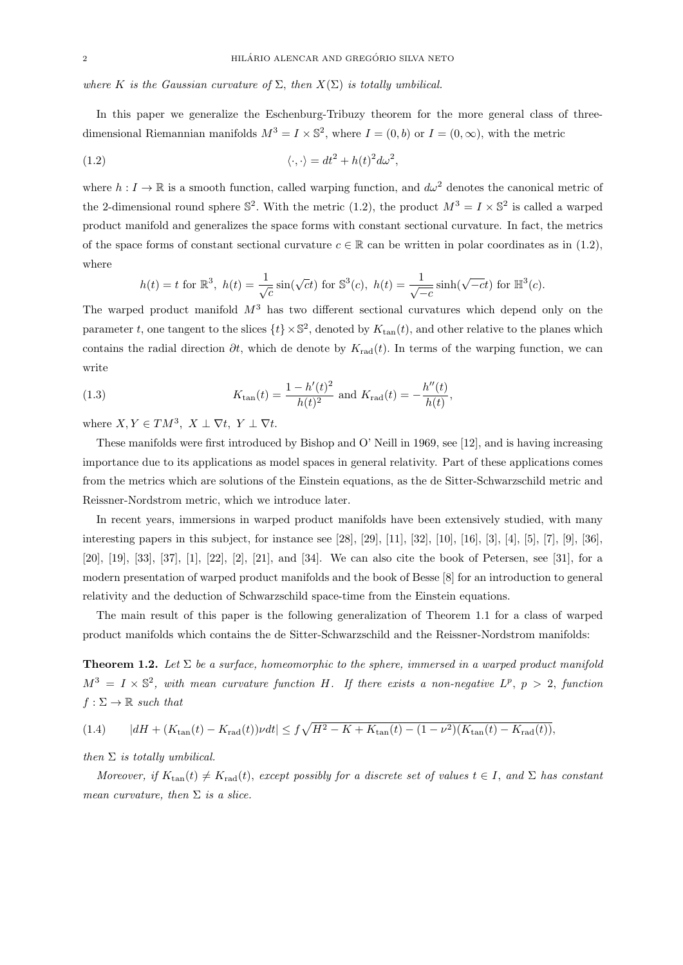where K is the Gaussian curvature of  $\Sigma$ , then  $X(\Sigma)$  is totally umbilical.

In this paper we generalize the Eschenburg-Tribuzy theorem for the more general class of threedimensional Riemannian manifolds  $M^3 = I \times \mathbb{S}^2$ , where  $I = (0, b)$  or  $I = (0, \infty)$ , with the metric

(1.2) 
$$
\langle \cdot, \cdot \rangle = dt^2 + h(t)^2 d\omega^2,
$$

where  $h: I \to \mathbb{R}$  is a smooth function, called warping function, and  $d\omega^2$  denotes the canonical metric of the 2-dimensional round sphere  $\mathbb{S}^2$ . With the metric (1.2), the product  $M^3 = I \times \mathbb{S}^2$  is called a warped product manifold and generalizes the space forms with constant sectional curvature. In fact, the metrics of the space forms of constant sectional curvature  $c \in \mathbb{R}$  can be written in polar coordinates as in (1.2), where

$$
h(t) = t
$$
 for  $\mathbb{R}^3$ ,  $h(t) = \frac{1}{\sqrt{c}} \sin(\sqrt{c}t)$  for  $\mathbb{S}^3(c)$ ,  $h(t) = \frac{1}{\sqrt{-c}} \sinh(\sqrt{-c}t)$  for  $\mathbb{H}^3(c)$ .

The warped product manifold  $M<sup>3</sup>$  has two different sectional curvatures which depend only on the parameter t, one tangent to the slices  $\{t\} \times \mathbb{S}^2$ , denoted by  $K_{\tan}(t)$ , and other relative to the planes which contains the radial direction  $\partial t$ , which de denote by  $K_{rad}(t)$ . In terms of the warping function, we can write

(1.3) 
$$
K_{\tan}(t) = \frac{1 - h'(t)^2}{h(t)^2} \text{ and } K_{\text{rad}}(t) = -\frac{h''(t)}{h(t)},
$$

where  $X, Y \in TM^3$ ,  $X \perp \nabla t$ ,  $Y \perp \nabla t$ .

These manifolds were first introduced by Bishop and O' Neill in 1969, see [12], and is having increasing importance due to its applications as model spaces in general relativity. Part of these applications comes from the metrics which are solutions of the Einstein equations, as the de Sitter-Schwarzschild metric and Reissner-Nordstrom metric, which we introduce later.

In recent years, immersions in warped product manifolds have been extensively studied, with many interesting papers in this subject, for instance see [28], [29], [11], [32], [10], [16], [3], [4], [5], [7], [9], [36], [20], [19], [33], [37], [1], [22], [2], [21], and [34]. We can also cite the book of Petersen, see [31], for a modern presentation of warped product manifolds and the book of Besse [8] for an introduction to general relativity and the deduction of Schwarzschild space-time from the Einstein equations.

The main result of this paper is the following generalization of Theorem 1.1 for a class of warped product manifolds which contains the de Sitter-Schwarzschild and the Reissner-Nordstrom manifolds:

**Theorem 1.2.** Let  $\Sigma$  be a surface, homeomorphic to the sphere, immersed in a warped product manifold  $M^3 = I \times \mathbb{S}^2$ , with mean curvature function H. If there exists a non-negative  $L^p$ ,  $p > 2$ , function  $f : \Sigma \to \mathbb{R}$  such that

$$
(1.4) \t|dH + (K_{\tan}(t) - K_{\text{rad}}(t))\nu dt| \le f\sqrt{H^2 - K + K_{\tan}(t) - (1 - \nu^2)(K_{\tan}(t) - K_{\text{rad}}(t))},
$$

then  $\Sigma$  is totally umbilical.

Moreover, if  $K_{\text{tan}}(t) \neq K_{\text{rad}}(t)$ , except possibly for a discrete set of values  $t \in I$ , and  $\Sigma$  has constant mean curvature, then  $\Sigma$  is a slice.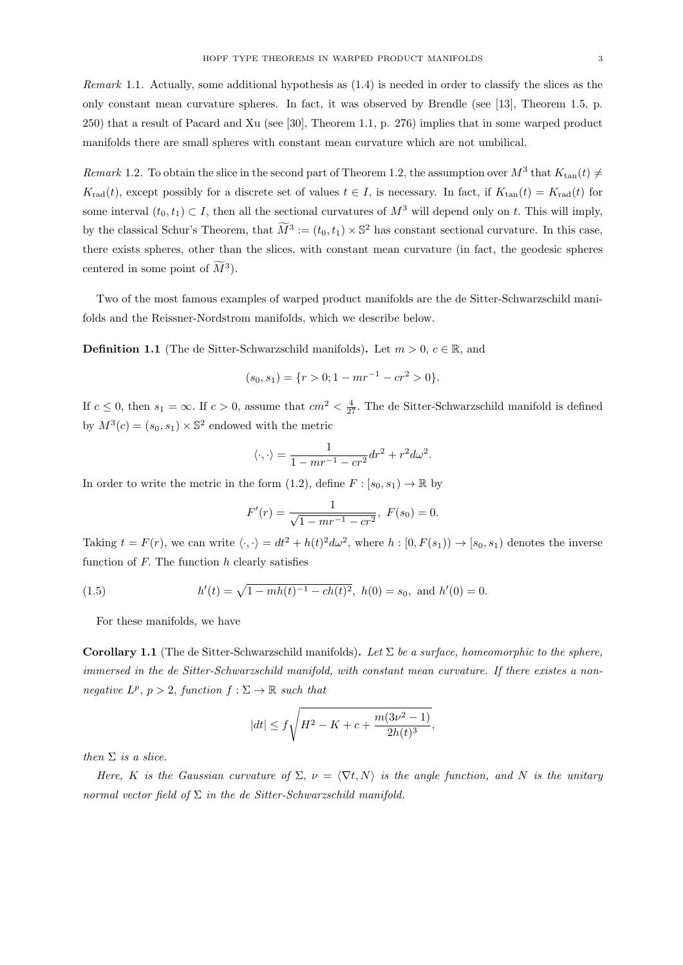Remark 1.1. Actually, some additional hypothesis as (1.4) is needed in order to classify the slices as the only constant mean curvature spheres. In fact, it was observed by Brendle (see [13], Theorem 1.5, p. 250) that a result of Pacard and Xu (see [30], Theorem 1.1, p. 276) implies that in some warped product manifolds there are small spheres with constant mean curvature which are not umbilical.

Remark 1.2. To obtain the slice in the second part of Theorem 1.2, the assumption over  $M^3$  that  $K_{\tan}(t) \neq$  $K_{\text{rad}}(t)$ , except possibly for a discrete set of values  $t \in I$ , is necessary. In fact, if  $K_{\text{tan}}(t) = K_{\text{rad}}(t)$  for some interval  $(t_0, t_1) \subset I$ , then all the sectional curvatures of  $M^3$  will depend only on t. This will imply, by the classical Schur's Theorem, that  $\widetilde{M}^3 := (t_0, t_1) \times \mathbb{S}^2$  has constant sectional curvature. In this case, there exists spheres, other than the slices, with constant mean curvature (in fact, the geodesic spheres centered in some point of  $\tilde{M}^3$ ).

Two of the most famous examples of warped product manifolds are the de Sitter-Schwarzschild manifolds and the Reissner-Nordstrom manifolds, which we describe below.

**Definition 1.1** (The de Sitter-Schwarzschild manifolds). Let  $m > 0$ ,  $c \in \mathbb{R}$ , and

$$
(s_0, s_1) = \{r > 0; 1 - mr^{-1} - cr^2 > 0\}.
$$

If  $c \leq 0$ , then  $s_1 = \infty$ . If  $c > 0$ , assume that  $cm^2 < \frac{4}{27}$ . The de Sitter-Schwarzschild manifold is defined by  $M^3(c) = (s_0, s_1) \times \mathbb{S}^2$  endowed with the metric

$$
\langle \cdot, \cdot \rangle = \frac{1}{1 - mr^{-1} - cr^2} dr^2 + r^2 d\omega^2.
$$

In order to write the metric in the form (1.2), define  $F : [s_0, s_1) \to \mathbb{R}$  by

$$
F'(r) = \frac{1}{\sqrt{1 - mr^{-1} - cr^2}}, \ F(s_0) = 0.
$$

Taking  $t = F(r)$ , we can write  $\langle \cdot, \cdot \rangle = dt^2 + h(t)^2 d\omega^2$ , where  $h : [0, F(s_1)) \to [s_0, s_1)$  denotes the inverse function of  $F$ . The function  $h$  clearly satisfies

(1.5) 
$$
h'(t) = \sqrt{1 - mh(t)^{-1} - ch(t)^{2}}, \ h(0) = s_0, \text{ and } h'(0) = 0.
$$

For these manifolds, we have

Corollary 1.1 (The de Sitter-Schwarzschild manifolds). Let  $\Sigma$  be a surface, homeomorphic to the sphere, immersed in the de Sitter-Schwarzschild manifold, with constant mean curvature. If there existes a nonnegative  $L^p$ ,  $p > 2$ , function  $f : \Sigma \to \mathbb{R}$  such that

$$
|dt| \leq f \sqrt{H^2 - K + c + \frac{m(3\nu^2 - 1)}{2h(t)^3}},
$$

then  $\Sigma$  is a slice.

Here, K is the Gaussian curvature of  $\Sigma$ ,  $\nu = \langle \nabla t, N \rangle$  is the angle function, and N is the unitary normal vector field of  $\Sigma$  in the de Sitter-Schwarzschild manifold.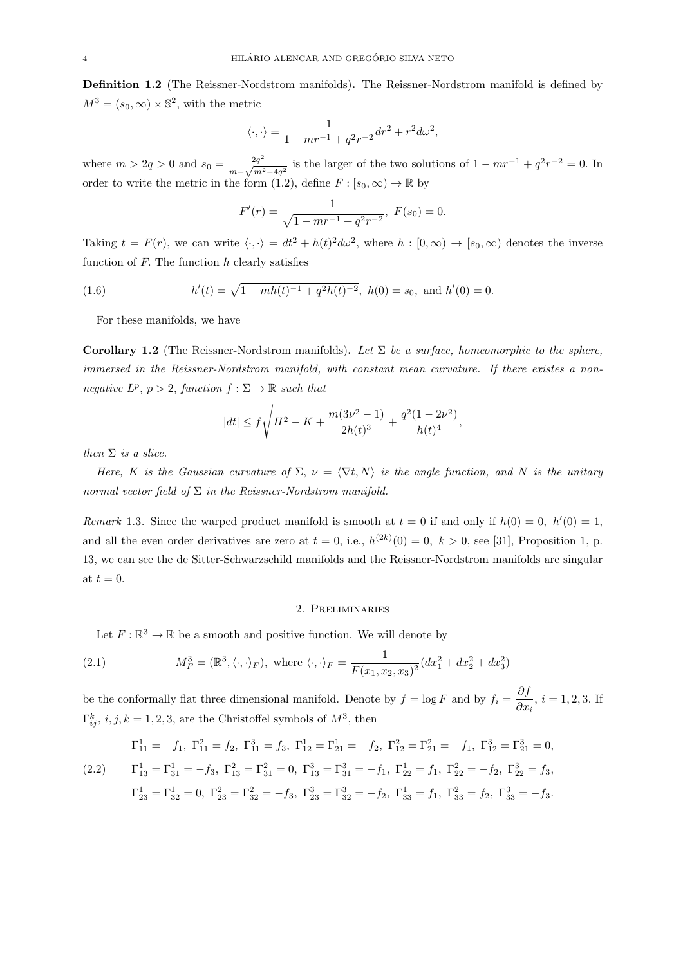Definition 1.2 (The Reissner-Nordstrom manifolds). The Reissner-Nordstrom manifold is defined by  $M^3 = (s_0, \infty) \times \mathbb{S}^2$ , with the metric

$$
\langle \cdot, \cdot \rangle = \frac{1}{1 - mr^{-1} + q^2r^{-2}} dr^2 + r^2 d\omega^2,
$$

where  $m > 2q > 0$  and  $s_0 = \frac{2q^2}{\sqrt{q}}$  $\frac{2q^2}{m-\sqrt{m^2-4q^2}}$  is the larger of the two solutions of  $1 - mr^{-1} + q^2r^{-2} = 0$ . In order to write the metric in the form (1.2), define  $F : [s_0, \infty) \to \mathbb{R}$  by

$$
F'(r) = \frac{1}{\sqrt{1 - mr^{-1} + q^2 r^{-2}}}, \ F(s_0) = 0.
$$

Taking  $t = F(r)$ , we can write  $\langle \cdot, \cdot \rangle = dt^2 + h(t)^2 d\omega^2$ , where  $h : [0, \infty) \to [s_0, \infty)$  denotes the inverse function of  $F$ . The function  $h$  clearly satisfies

(1.6) 
$$
h'(t) = \sqrt{1 - mh(t)^{-1} + q^2h(t)^{-2}}, \ h(0) = s_0, \text{ and } h'(0) = 0.
$$

For these manifolds, we have

Corollary 1.2 (The Reissner-Nordstrom manifolds). Let  $\Sigma$  be a surface, homeomorphic to the sphere, immersed in the Reissner-Nordstrom manifold, with constant mean curvature. If there existes a nonnegative  $L^p$ ,  $p > 2$ , function  $f : \Sigma \to \mathbb{R}$  such that

$$
|dt| \le f \sqrt{H^2 - K + \frac{m(3\nu^2 - 1)}{2h(t)^3} + \frac{q^2(1 - 2\nu^2)}{h(t)^4}},
$$

then  $\Sigma$  is a slice.

Here, K is the Gaussian curvature of  $\Sigma$ ,  $\nu = \langle \nabla t, N \rangle$  is the angle function, and N is the unitary normal vector field of  $\Sigma$  in the Reissner-Nordstrom manifold.

Remark 1.3. Since the warped product manifold is smooth at  $t = 0$  if and only if  $h(0) = 0$ ,  $h'(0) = 1$ , and all the even order derivatives are zero at  $t = 0$ , i.e.,  $h^{(2k)}(0) = 0$ ,  $k > 0$ , see [31], Proposition 1, p. 13, we can see the de Sitter-Schwarzschild manifolds and the Reissner-Nordstrom manifolds are singular at  $t = 0$ .

## 2. Preliminaries

Let  $F: \mathbb{R}^3 \to \mathbb{R}$  be a smooth and positive function. We will denote by

(2.1) 
$$
M_F^3 = (\mathbb{R}^3, \langle \cdot, \cdot \rangle_F), \text{ where } \langle \cdot, \cdot \rangle_F = \frac{1}{F(x_1, x_2, x_3)^2} (dx_1^2 + dx_2^2 + dx_3^2)
$$

be the conformally flat three dimensional manifold. Denote by  $f = \log F$  and by  $f_i = \frac{\partial f}{\partial x_i}$  $\frac{\partial}{\partial x_i}$ ,  $i = 1, 2, 3$ . If  $\Gamma_{ij}^k$ , *i*, *j*, *k* = 1, 2, 3, are the Christoffel symbols of  $M^3$ , then

$$
\Gamma_{11}^{1} = -f_{1}, \ \Gamma_{11}^{2} = f_{2}, \ \Gamma_{11}^{3} = f_{3}, \ \Gamma_{12}^{1} = \Gamma_{21}^{1} = -f_{2}, \ \Gamma_{12}^{2} = \Gamma_{21}^{2} = -f_{1}, \ \Gamma_{12}^{3} = \Gamma_{21}^{3} = 0,
$$
\n
$$
\Gamma_{13}^{1} = \Gamma_{31}^{1} = -f_{3}, \ \Gamma_{13}^{2} = \Gamma_{31}^{2} = 0, \ \Gamma_{13}^{3} = \Gamma_{31}^{3} = -f_{1}, \ \Gamma_{22}^{1} = f_{1}, \ \Gamma_{22}^{2} = -f_{2}, \ \Gamma_{22}^{3} = f_{3},
$$
\n
$$
\Gamma_{23}^{1} = \Gamma_{32}^{1} = 0, \ \Gamma_{23}^{2} = \Gamma_{32}^{2} = -f_{3}, \ \Gamma_{23}^{3} = \Gamma_{32}^{3} = -f_{2}, \ \Gamma_{33}^{1} = f_{1}, \ \Gamma_{33}^{2} = f_{2}, \ \Gamma_{33}^{3} = -f_{3}.
$$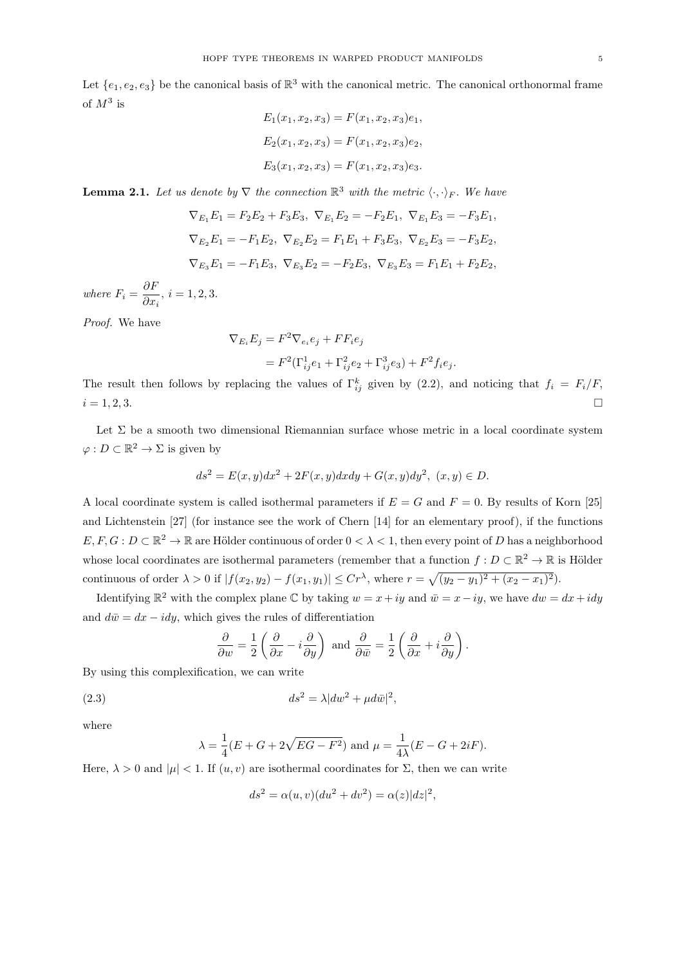Let  $\{e_1, e_2, e_3\}$  be the canonical basis of  $\mathbb{R}^3$  with the canonical metric. The canonical orthonormal frame of  $M^3$  is

$$
E_1(x_1, x_2, x_3) = F(x_1, x_2, x_3)e_1,
$$
  
\n
$$
E_2(x_1, x_2, x_3) = F(x_1, x_2, x_3)e_2,
$$
  
\n
$$
E_3(x_1, x_2, x_3) = F(x_1, x_2, x_3)e_3.
$$

**Lemma 2.1.** Let us denote by  $\nabla$  the connection  $\mathbb{R}^3$  with the metric  $\langle \cdot, \cdot \rangle_F$ . We have

$$
\nabla_{E_1} E_1 = F_2 E_2 + F_3 E_3, \ \nabla_{E_1} E_2 = -F_2 E_1, \ \nabla_{E_1} E_3 = -F_3 E_1,
$$
  
\n
$$
\nabla_{E_2} E_1 = -F_1 E_2, \ \nabla_{E_2} E_2 = F_1 E_1 + F_3 E_3, \ \nabla_{E_2} E_3 = -F_3 E_2,
$$
  
\n
$$
\nabla_{E_3} E_1 = -F_1 E_3, \ \nabla_{E_3} E_2 = -F_2 E_3, \ \nabla_{E_3} E_3 = F_1 E_1 + F_2 E_2,
$$

where  $F_i = \frac{\partial F}{\partial x_i}$  $\frac{\partial}{\partial x_i}, i = 1, 2, 3.$ 

Proof. We have

$$
\nabla_{E_i} E_j = F^2 \nabla_{e_i} e_j + F F_i e_j
$$
  
=  $F^2 (\Gamma_{ij}^1 e_1 + \Gamma_{ij}^2 e_2 + \Gamma_{ij}^3 e_3) + F^2 f_i e_j.$ 

The result then follows by replacing the values of  $\Gamma_{ij}^k$  given by (2.2), and noticing that  $f_i = F_i/F$ ,  $i = 1, 2, 3.$ 

Let  $\Sigma$  be a smooth two dimensional Riemannian surface whose metric in a local coordinate system  $\varphi: D \subset \mathbb{R}^2 \to \Sigma$  is given by

$$
ds^{2} = E(x, y)dx^{2} + 2F(x, y)dxdy + G(x, y)dy^{2}, (x, y) \in D.
$$

A local coordinate system is called isothermal parameters if  $E = G$  and  $F = 0$ . By results of Korn [25] and Lichtenstein [27] (for instance see the work of Chern [14] for an elementary proof), if the functions  $E, F, G: D \subset \mathbb{R}^2 \to \mathbb{R}$  are Hölder continuous of order  $0 < \lambda < 1$ , then every point of D has a neighborhood whose local coordinates are isothermal parameters (remember that a function  $f: D \subset \mathbb{R}^2 \to \mathbb{R}$  is Hölder continuous of order  $\lambda > 0$  if  $|f(x_2, y_2) - f(x_1, y_1)| \le Cr^{\lambda}$ , where  $r = \sqrt{(y_2 - y_1)^2 + (x_2 - x_1)^2}$ .

Identifying  $\mathbb{R}^2$  with the complex plane  $\mathbb C$  by taking  $w = x + iy$  and  $\bar{w} = x - iy$ , we have  $dw = dx + idy$ and  $d\bar{w} = dx - idy$ , which gives the rules of differentiation

$$
\frac{\partial}{\partial w} = \frac{1}{2} \left( \frac{\partial}{\partial x} - i \frac{\partial}{\partial y} \right) \text{ and } \frac{\partial}{\partial \bar{w}} = \frac{1}{2} \left( \frac{\partial}{\partial x} + i \frac{\partial}{\partial y} \right).
$$

By using this complexification, we can write

$$
(2.3) \t\t ds2 = \lambda |dw2 + \mu d\bar{w}|2,
$$

where

$$
\lambda = \frac{1}{4}(E + G + 2\sqrt{EG - F^2})
$$
 and  $\mu = \frac{1}{4\lambda}(E - G + 2iF).$ 

Here,  $\lambda > 0$  and  $|\mu| < 1$ . If  $(u, v)$  are isothermal coordinates for  $\Sigma$ , then we can write

$$
ds2 = \alpha(u, v)(du2 + dv2) = \alpha(z)|dz|2,
$$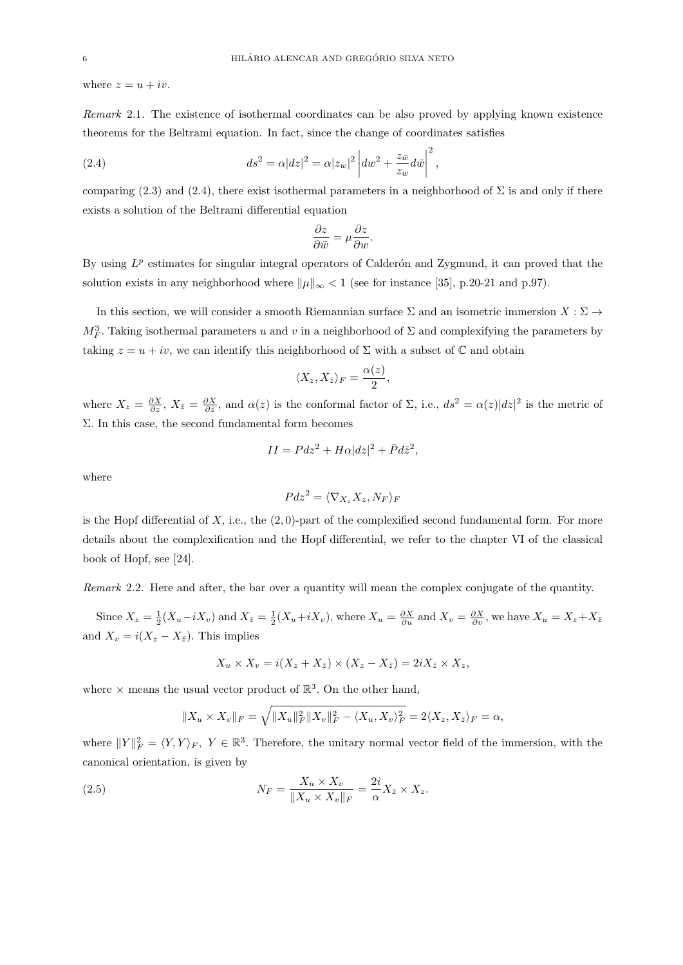where  $z = u + iv$ .

Remark 2.1. The existence of isothermal coordinates can be also proved by applying known existence theorems for the Beltrami equation. In fact, since the change of coordinates satisfies

(2.4) 
$$
ds^2 = \alpha |dz|^2 = \alpha |z_w|^2 \left| dw^2 + \frac{z_{\bar{w}}}{z_w} d\bar{w} \right|^2,
$$

comparing (2.3) and (2.4), there exist isothermal parameters in a neighborhood of  $\Sigma$  is and only if there exists a solution of the Beltrami differential equation

$$
\frac{\partial z}{\partial \bar{w}} = \mu \frac{\partial z}{\partial w}.
$$

By using  $L^p$  estimates for singular integral operators of Calderón and Zygmund, it can proved that the solution exists in any neighborhood where  $\|\mu\|_{\infty} < 1$  (see for instance [35], p.20-21 and p.97).

In this section, we will consider a smooth Riemannian surface  $\Sigma$  and an isometric immersion  $X : \Sigma \to$  $M_F^3$ . Taking isothermal parameters u and v in a neighborhood of  $\Sigma$  and complexifying the parameters by taking  $z = u + iv$ , we can identify this neighborhood of  $\Sigma$  with a subset of  $\mathbb C$  and obtain

$$
\langle X_z, X_{\bar{z}} \rangle_F = \frac{\alpha(z)}{2},
$$

where  $X_z = \frac{\partial X}{\partial z}$ ,  $X_{\bar{z}} = \frac{\partial X}{\partial \bar{z}}$ , and  $\alpha(z)$  is the conformal factor of  $\Sigma$ , i.e.,  $ds^2 = \alpha(z)|dz|^2$  is the metric of Σ. In this case, the second fundamental form becomes

$$
II = Pdz^2 + H\alpha|dz|^2 + \bar{P}d\bar{z}^2,
$$

where

$$
Pdz^2 = \langle \nabla_{X_z} X_z, N_F \rangle_F
$$

is the Hopf differential of  $X$ , i.e., the  $(2, 0)$ -part of the complexified second fundamental form. For more details about the complexification and the Hopf differential, we refer to the chapter VI of the classical book of Hopf, see [24].

Remark 2.2. Here and after, the bar over a quantity will mean the complex conjugate of the quantity.

Since  $X_z = \frac{1}{2}(X_u - iX_v)$  and  $X_{\bar{z}} = \frac{1}{2}(X_u + iX_v)$ , where  $X_u = \frac{\partial X}{\partial u}$  and  $X_v = \frac{\partial X}{\partial v}$ , we have  $X_u = X_z + X_{\bar{z}}$ and  $X_v = i(X_z - X_{\bar{z}})$ . This implies

$$
X_u \times X_v = i(X_z + X_{\bar{z}}) \times (X_z - X_{\bar{z}}) = 2iX_{\bar{z}} \times X_z,
$$

where  $\times$  means the usual vector product of  $\mathbb{R}^3$ . On the other hand,

$$
||X_u \times X_v||_F = \sqrt{||X_u||_F^2 ||X_v||_F^2 - \langle X_u, X_v \rangle_F^2} = 2\langle X_z, X_{\bar{z}} \rangle_F = \alpha,
$$

where  $||Y||_F^2 = \langle Y, Y \rangle_F$ ,  $Y \in \mathbb{R}^3$ . Therefore, the unitary normal vector field of the immersion, with the canonical orientation, is given by

(2.5) 
$$
N_F = \frac{X_u \times X_v}{\|X_u \times X_v\|_F} = \frac{2i}{\alpha} X_{\bar{z}} \times X_z.
$$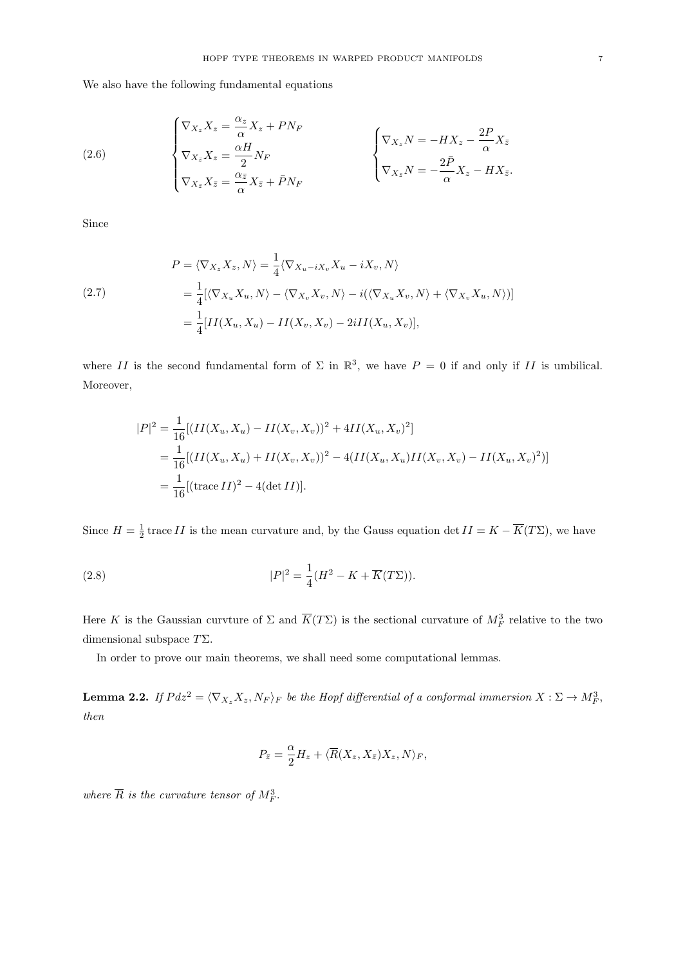We also have the following fundamental equations

(2.6) 
$$
\begin{cases} \nabla_{X_z} X_z = \frac{\alpha_z}{\alpha} X_z + P N_F \\ \nabla_{X_{\bar{z}}} X_z = \frac{\alpha H}{2} N_F \\ \nabla_{X_{\bar{z}}} X_{\bar{z}} = \frac{\alpha_z}{\alpha} X_{\bar{z}} + \bar{P} N_F \end{cases} \qquad \begin{cases} \nabla_{X_z} N = -H X_z - \frac{2P}{\alpha} X_{\bar{z}} \\ \nabla_{X_z} N = -\frac{2\bar{P}}{\alpha} X_z - H X_{\bar{z}}. \end{cases}
$$

Since

(2.7)  
\n
$$
P = \langle \nabla_{X_z} X_z, N \rangle = \frac{1}{4} \langle \nabla_{X_u - iX_v} X_u - iX_v, N \rangle
$$
\n
$$
= \frac{1}{4} [\langle \nabla_{X_u} X_u, N \rangle - \langle \nabla_{X_v} X_v, N \rangle - i(\langle \nabla_{X_u} X_v, N \rangle + \langle \nabla_{X_v} X_u, N \rangle)]
$$
\n
$$
= \frac{1}{4} [II(X_u, X_u) - II(X_v, X_v) - 2iII(X_u, X_v)],
$$

where II is the second fundamental form of  $\Sigma$  in  $\mathbb{R}^3$ , we have  $P = 0$  if and only if II is umbilical. Moreover,

$$
|P|^2 = \frac{1}{16} [(II(X_u, X_u) - II(X_v, X_v))^2 + 4II(X_u, X_v)^2]
$$
  
= 
$$
\frac{1}{16} [(II(X_u, X_u) + II(X_v, X_v))^2 - 4(II(X_u, X_u)II(X_v, X_v) - II(X_u, X_v)^2)]
$$
  
= 
$$
\frac{1}{16} [(\text{trace } II)^2 - 4(\text{det } II)].
$$

Since  $H = \frac{1}{2}$  trace II is the mean curvature and, by the Gauss equation det  $II = K - \overline{K}(T\Sigma)$ , we have

(2.8) 
$$
|P|^2 = \frac{1}{4}(H^2 - K + \overline{K}(T\Sigma)).
$$

Here K is the Gaussian curvture of  $\Sigma$  and  $\overline{K}(T\Sigma)$  is the sectional curvature of  $M_F^3$  relative to the two dimensional subspace  $T\Sigma$ .

In order to prove our main theorems, we shall need some computational lemmas.

**Lemma 2.2.** If  $Pdz^2 = \langle \nabla_{X_z} X_z, N_F \rangle_F$  be the Hopf differential of a conformal immersion  $X : \Sigma \to M_F^3$ , then

$$
P_{\bar{z}} = \frac{\alpha}{2} H_z + \langle \overline{R}(X_z, X_{\bar{z}}) X_z, N \rangle_F,
$$

where  $\overline{R}$  is the curvature tensor of  $M_F^3$ .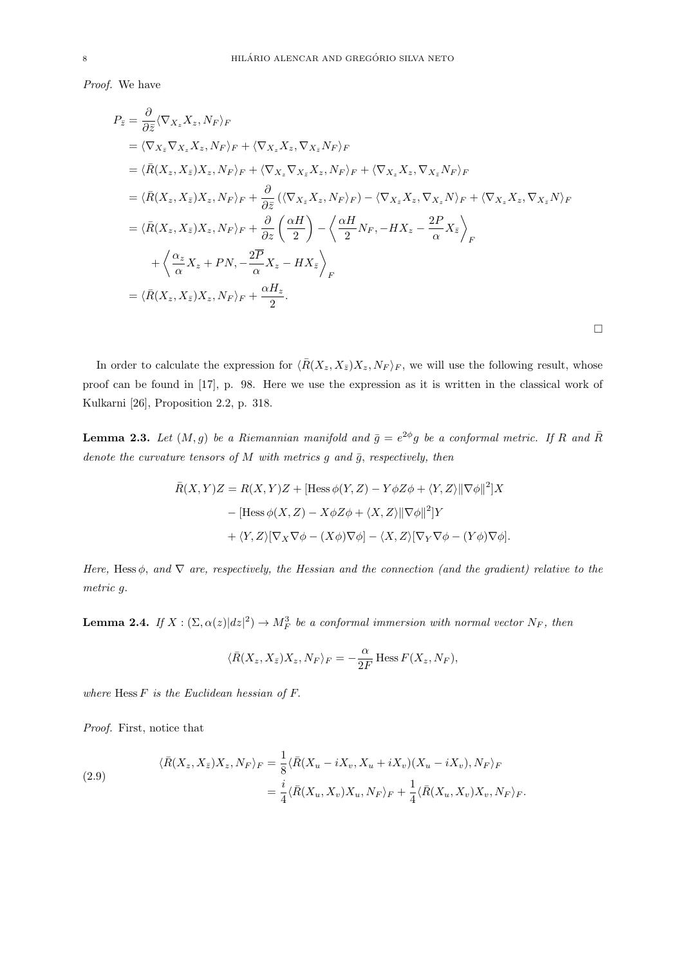Proof. We have

$$
P_{\overline{z}} = \frac{\partial}{\partial \overline{z}} \langle \nabla_{X_z} X_z, N_F \rangle_F
$$
  
\n
$$
= \langle \nabla_{X_{\overline{z}}} \nabla_{X_z} X_z, N_F \rangle_F + \langle \nabla_{X_z} X_z, \nabla_{X_{\overline{z}}} N_F \rangle_F
$$
  
\n
$$
= \langle \overline{R}(X_z, X_{\overline{z}}) X_z, N_F \rangle_F + \langle \nabla_{X_z} \nabla_{X_{\overline{z}}} X_z, N_F \rangle_F + \langle \nabla_{X_z} X_z, \nabla_{X_{\overline{z}}} N_F \rangle_F
$$
  
\n
$$
= \langle \overline{R}(X_z, X_{\overline{z}}) X_z, N_F \rangle_F + \frac{\partial}{\partial \overline{z}} (\langle \nabla_{X_{\overline{z}}} X_z, N_F \rangle_F) - \langle \nabla_{X_{\overline{z}}} X_z, \nabla_{X_z} N \rangle_F + \langle \nabla_{X_z} X_z, \nabla_{X_{\overline{z}}} N \rangle_F
$$
  
\n
$$
= \langle \overline{R}(X_z, X_{\overline{z}}) X_z, N_F \rangle_F + \frac{\partial}{\partial z} \left( \frac{\alpha H}{2} \right) - \langle \frac{\alpha H}{2} N_F, -H X_z - \frac{2P}{\alpha} X_{\overline{z}} \rangle_F
$$
  
\n
$$
+ \langle \frac{\alpha_z}{\alpha} X_z + P N, - \frac{2P}{\alpha} X_z - H X_{\overline{z}} \rangle_F
$$
  
\n
$$
= \langle \overline{R}(X_z, X_{\overline{z}}) X_z, N_F \rangle_F + \frac{\alpha H_z}{2}.
$$

In order to calculate the expression for  $\langle \bar{R}(X_z, X_{\bar{z}})X_z, N_F \rangle_F$ , we will use the following result, whose proof can be found in [17], p. 98. Here we use the expression as it is written in the classical work of Kulkarni [26], Proposition 2.2, p. 318.

 $\Box$ 

**Lemma 2.3.** Let  $(M, g)$  be a Riemannian manifold and  $\bar{g} = e^{2\phi}g$  be a conformal metric. If R and  $\bar{R}$ denote the curvature tensors of M with metrics  $g$  and  $\bar{g}$ , respectively, then

$$
\bar{R}(X,Y)Z = R(X,Y)Z + [\text{Hess}\,\phi(Y,Z) - Y\phi Z\phi + \langle Y,Z\rangle ||\nabla\phi||^2]X
$$

$$
- [\text{Hess}\,\phi(X,Z) - X\phi Z\phi + \langle X,Z\rangle ||\nabla\phi||^2]Y
$$

$$
+ \langle Y,Z\rangle [\nabla_X \nabla\phi - (X\phi)\nabla\phi] - \langle X,Z\rangle [\nabla_Y \nabla\phi - (Y\phi)\nabla\phi].
$$

Here, Hess  $\phi$ , and  $\nabla$  are, respectively, the Hessian and the connection (and the gradient) relative to the metric g.

**Lemma 2.4.** If  $X : (\Sigma, \alpha(z)|dz|^2) \to M_F^3$  be a conformal immersion with normal vector  $N_F$ , then

$$
\langle \bar{R}(X_z, X_{\bar{z}}) X_z, N_F \rangle_F = -\frac{\alpha}{2F} \operatorname{Hess} F(X_z, N_F),
$$

where  $Hess F$  is the Euclidean hessian of  $F$ .

Proof. First, notice that

(2.9)  
\n
$$
\langle \bar{R}(X_z, X_{\bar{z}})X_z, N_F \rangle_F = \frac{1}{8} \langle \bar{R}(X_u - iX_v, X_u + iX_v)(X_u - iX_v), N_F \rangle_F
$$
\n
$$
= \frac{i}{4} \langle \bar{R}(X_u, X_v)X_u, N_F \rangle_F + \frac{1}{4} \langle \bar{R}(X_u, X_v)X_v, N_F \rangle_F.
$$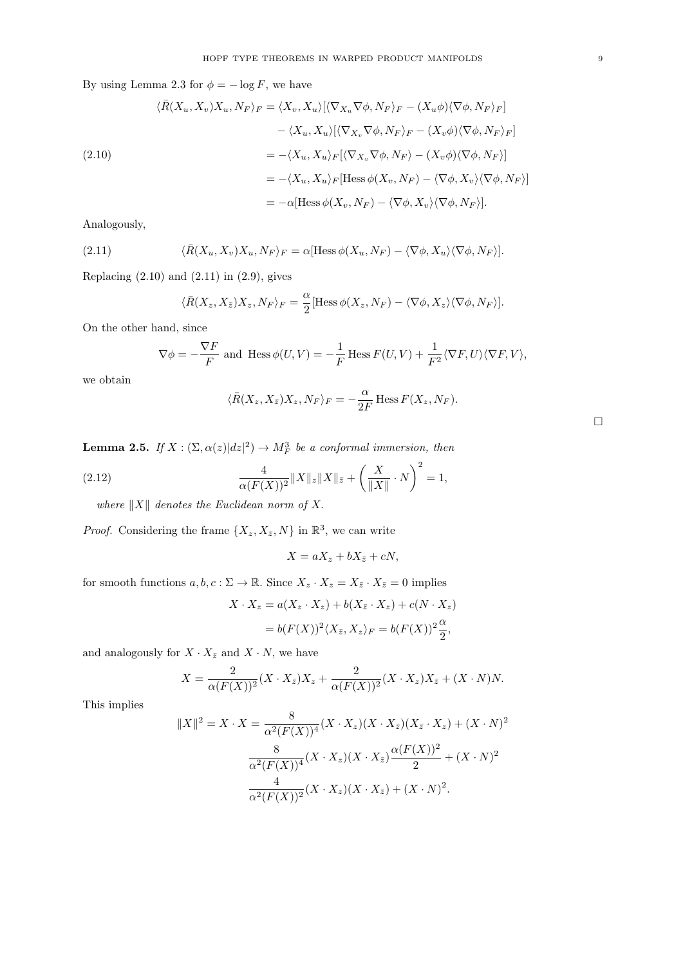By using Lemma 2.3 for  $\phi = -\log F$ , we have

(2.10)  
\n
$$
\langle \bar{R}(X_u, X_v) X_u, N_F \rangle_F = \langle X_v, X_u \rangle [\langle \nabla_{X_u} \nabla \phi, N_F \rangle_F - (X_u \phi) \langle \nabla \phi, N_F \rangle_F]
$$
\n
$$
- \langle X_u, X_u \rangle [\langle \nabla_{X_v} \nabla \phi, N_F \rangle_F - (X_v \phi) \langle \nabla \phi, N_F \rangle_F]
$$
\n
$$
= - \langle X_u, X_u \rangle_F [\langle \nabla_{X_v} \nabla \phi, N_F \rangle - (X_v \phi) \langle \nabla \phi, N_F \rangle]
$$
\n
$$
= - \langle X_u, X_u \rangle_F [\text{Hess } \phi(X_v, N_F) - \langle \nabla \phi, X_v \rangle \langle \nabla \phi, N_F \rangle]
$$
\n
$$
= -\alpha [\text{Hess } \phi(X_v, N_F) - \langle \nabla \phi, X_v \rangle \langle \nabla \phi, N_F \rangle].
$$

Analogously,

(2.11) 
$$
\langle \bar{R}(X_u, X_v) X_u, N_F \rangle_F = \alpha [\text{Hess}\,\phi(X_u, N_F) - \langle \nabla \phi, X_u \rangle \langle \nabla \phi, N_F \rangle].
$$

Replacing  $(2.10)$  and  $(2.11)$  in  $(2.9)$ , gives

$$
\langle \bar{R}(X_z, X_{\bar{z}})X_z, N_F \rangle_F = \frac{\alpha}{2} [\text{Hess}\,\phi(X_z, N_F) - \langle \nabla \phi, X_z \rangle \langle \nabla \phi, N_F \rangle].
$$

On the other hand, since

$$
\nabla \phi = -\frac{\nabla F}{F} \text{ and } \operatorname{Hess} \phi(U, V) = -\frac{1}{F} \operatorname{Hess} F(U, V) + \frac{1}{F^2} \langle \nabla F, U \rangle \langle \nabla F, V \rangle,
$$

we obtain

$$
\langle \bar{R}(X_z, X_{\bar{z}})X_z, N_F \rangle_F = -\frac{\alpha}{2F} \operatorname{Hess} F(X_z, N_F).
$$

|  |  | <b>Lemma 2.5.</b> If $X : (\Sigma, \alpha(z) dz ^2) \to M_F^3$ be a conformal immersion, then |  |  |  |  |  |
|--|--|-----------------------------------------------------------------------------------------------|--|--|--|--|--|
|--|--|-----------------------------------------------------------------------------------------------|--|--|--|--|--|

(2.12) 
$$
\frac{4}{\alpha(F(X))^2} \|X\|_{z} \|X\|_{\bar{z}} + \left(\frac{X}{\|X\|} \cdot N\right)^2 = 1,
$$

where  $||X||$  denotes the Euclidean norm of X.

*Proof.* Considering the frame  $\{X_z, X_{\bar{z}}, N\}$  in  $\mathbb{R}^3$ , we can write

$$
X = aX_z + bX_{\bar{z}} + cN,
$$

for smooth functions  $a, b, c : \Sigma \to \mathbb{R}$ . Since  $X_z \cdot X_z = X_{\bar{z}} \cdot X_{\bar{z}} = 0$  implies

$$
X \cdot X_z = a(X_z \cdot X_z) + b(X_{\bar{z}} \cdot X_z) + c(N \cdot X_z)
$$
  
=  $b(F(X))^2 \langle X_{\bar{z}}, X_z \rangle_F = b(F(X))^2 \frac{\alpha}{2},$ 

and analogously for  $X \cdot X_{\bar{z}}$  and  $X \cdot N$ , we have

$$
X = \frac{2}{\alpha(F(X))^2} (X \cdot X_{\bar{z}}) X_z + \frac{2}{\alpha(F(X))^2} (X \cdot X_z) X_{\bar{z}} + (X \cdot N) N.
$$

This implies

$$
||X||^2 = X \cdot X = \frac{8}{\alpha^2 (F(X))^4} (X \cdot X_z)(X \cdot X_{\bar{z}})(X_{\bar{z}} \cdot X_z) + (X \cdot N)^2
$$

$$
\frac{8}{\alpha^2 (F(X))^4} (X \cdot X_z)(X \cdot X_{\bar{z}}) \frac{\alpha (F(X))^2}{2} + (X \cdot N)^2
$$

$$
\frac{4}{\alpha^2 (F(X))^2} (X \cdot X_z)(X \cdot X_{\bar{z}}) + (X \cdot N)^2.
$$

 $\Box$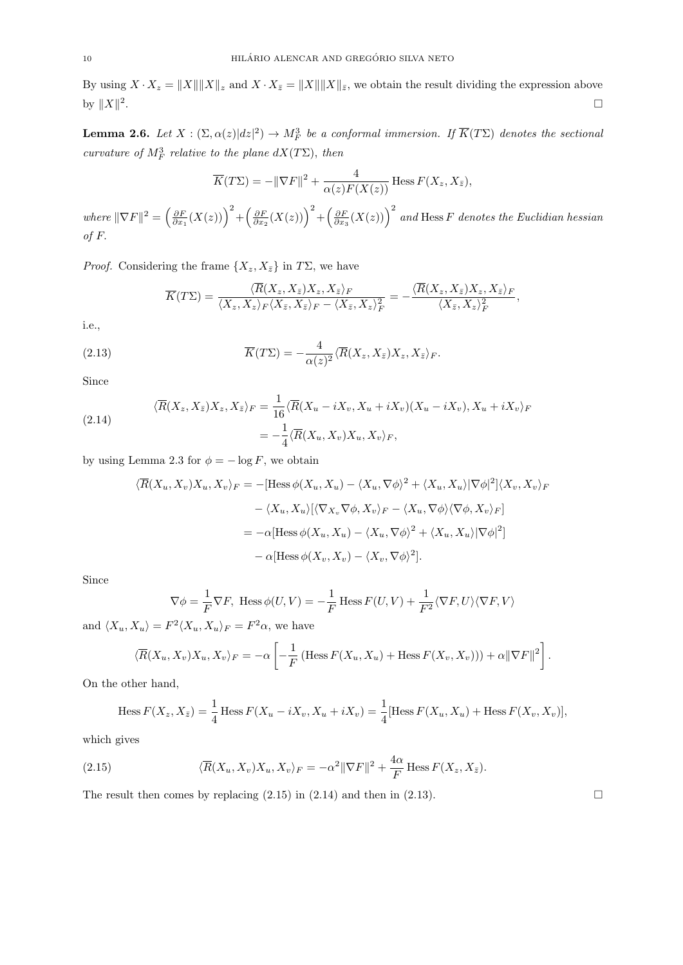By using  $X \cdot X_z = ||X|| ||X||_z$  and  $X \cdot X_{\bar{z}} = ||X|| ||X||_{\bar{z}}$ , we obtain the result dividing the expression above by  $||X||^2$ .<br>1980 - Paul Barbara, politikar eta biztanleria eta biztanleria eta biztanleria eta biztanleria eta biztanleri

**Lemma 2.6.** Let  $X : (\Sigma, \alpha(z)|dz|^2) \to M_F^3$  be a conformal immersion. If  $\overline{K}(T\Sigma)$  denotes the sectional curvature of  $M_F^3$  relative to the plane  $dX(T\Sigma)$ , then

$$
\overline{K}(T\Sigma) = -\|\nabla F\|^2 + \frac{4}{\alpha(z)F(X(z))}
$$
 Hess  $F(X_z, X_{\bar{z}})$ ,

where  $\|\nabla F\|^2 = \left(\frac{\partial F}{\partial x_1}(X(z))\right)^2 + \left(\frac{\partial F}{\partial x_2}(X(z))\right)^2 + \left(\frac{\partial F}{\partial x_3}(X(z))\right)^2$  and Hess F denotes the Euclidian hessian of F.

*Proof.* Considering the frame  $\{X_z, X_{\bar{z}}\}$  in  $T\Sigma$ , we have

$$
\overline{K}(T\Sigma) = \frac{\langle \overline{R}(X_z, X_{\overline{z}})X_z, X_{\overline{z}} \rangle_F}{\langle X_z, X_z \rangle_F \langle X_{\overline{z}}, X_{\overline{z}} \rangle_F - \langle X_{\overline{z}}, X_z \rangle_F^2} = -\frac{\langle \overline{R}(X_z, X_{\overline{z}})X_z, X_{\overline{z}} \rangle_F}{\langle X_{\overline{z}}, X_z \rangle_F^2},
$$

i.e.,

(2.13) 
$$
\overline{K}(T\Sigma) = -\frac{4}{\alpha(z)^2} \langle \overline{R}(X_z, X_{\overline{z}}) X_z, X_{\overline{z}} \rangle_F.
$$

Since

(2.14) 
$$
\langle \overline{R}(X_z, X_{\overline{z}})X_z, X_{\overline{z}} \rangle_F = \frac{1}{16} \langle \overline{R}(X_u - iX_v, X_u + iX_v)(X_u - iX_v), X_u + iX_v \rangle_F
$$

$$
= -\frac{1}{4} \langle \overline{R}(X_u, X_v)X_u, X_v \rangle_F,
$$

by using Lemma 2.3 for  $\phi = -\log F$ , we obtain

$$
\langle \overline{R}(X_u, X_v)X_u, X_v \rangle_F = -[\text{Hess}\,\phi(X_u, X_u) - \langle X_u, \nabla\phi \rangle^2 + \langle X_u, X_u \rangle |\nabla\phi|^2] \langle X_v, X_v \rangle_F
$$

$$
- \langle X_u, X_u \rangle [\langle \nabla_{X_v} \nabla\phi, X_v \rangle_F - \langle X_u, \nabla\phi \rangle \langle \nabla\phi, X_v \rangle_F]
$$

$$
= -\alpha [\text{Hess}\,\phi(X_u, X_u) - \langle X_u, \nabla\phi \rangle^2 + \langle X_u, X_u \rangle |\nabla\phi|^2]
$$

$$
- \alpha [\text{Hess}\,\phi(X_v, X_v) - \langle X_v, \nabla\phi \rangle^2].
$$

Since

$$
\nabla \phi = \frac{1}{F} \nabla F, \text{ Hess}\,\phi(U, V) = -\frac{1}{F} \text{Hess}\, F(U, V) + \frac{1}{F^2} \langle \nabla F, U \rangle \langle \nabla F, V \rangle
$$

and  $\langle X_u, X_u \rangle = F^2 \langle X_u, X_u \rangle_F = F^2 \alpha$ , we have

$$
\langle \overline{R}(X_u, X_v)X_u, X_v \rangle_F = -\alpha \left[ -\frac{1}{F} \left( \text{Hess}\, F(X_u, X_u) + \text{Hess}\, F(X_v, X_v) \right) \right) + \alpha ||\nabla F||^2 \right].
$$

On the other hand,

Hess 
$$
F(X_z, X_{\bar{z}}) = \frac{1}{4}
$$
 Hess  $F(X_u - iX_v, X_u + iX_v) = \frac{1}{4}$  [Hess  $F(X_u, X_u)$  + Hess  $F(X_v, X_v)$ ],

which gives

(2.15) 
$$
\langle \overline{R}(X_u, X_v)X_u, X_v \rangle_F = -\alpha^2 \|\nabla F\|^2 + \frac{4\alpha}{F} \text{Hess } F(X_z, X_{\bar{z}}).
$$

The result then comes by replacing  $(2.15)$  in  $(2.14)$  and then in  $(2.13)$ .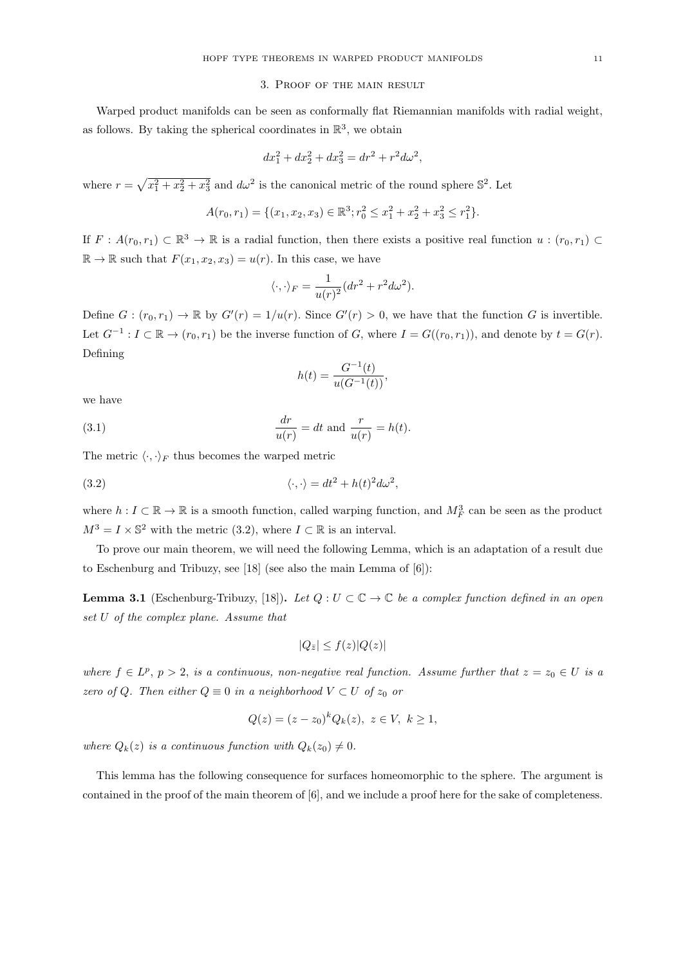## 3. Proof of the main result

Warped product manifolds can be seen as conformally flat Riemannian manifolds with radial weight, as follows. By taking the spherical coordinates in  $\mathbb{R}^3$ , we obtain

$$
dx_1^2 + dx_2^2 + dx_3^2 = dr^2 + r^2 d\omega^2,
$$

where  $r = \sqrt{x_1^2 + x_2^2 + x_3^2}$  and  $d\omega^2$  is the canonical metric of the round sphere  $\mathbb{S}^2$ . Let

$$
A(r_0, r_1) = \{(x_1, x_2, x_3) \in \mathbb{R}^3; r_0^2 \le x_1^2 + x_2^2 + x_3^2 \le r_1^2\}.
$$

If  $F: A(r_0, r_1) \subset \mathbb{R}^3 \to \mathbb{R}$  is a radial function, then there exists a positive real function  $u: (r_0, r_1) \subset$  $\mathbb{R} \to \mathbb{R}$  such that  $F(x_1, x_2, x_3) = u(r)$ . In this case, we have

$$
\langle \cdot, \cdot \rangle_F = \frac{1}{u(r)^2} (dr^2 + r^2 d\omega^2).
$$

Define  $G: (r_0, r_1) \to \mathbb{R}$  by  $G'(r) = 1/u(r)$ . Since  $G'(r) > 0$ , we have that the function G is invertible. Let  $G^{-1}: I \subset \mathbb{R} \to (r_0, r_1)$  be the inverse function of G, where  $I = G((r_0, r_1))$ , and denote by  $t = G(r)$ . Defining

$$
h(t) = \frac{G^{-1}(t)}{u(G^{-1}(t))},
$$

we have

(3.1) 
$$
\frac{dr}{u(r)} = dt \text{ and } \frac{r}{u(r)} = h(t).
$$

The metric  $\langle \cdot, \cdot \rangle_F$  thus becomes the warped metric

(3.2) 
$$
\langle \cdot, \cdot \rangle = dt^2 + h(t)^2 d\omega^2,
$$

where  $h: I \subset \mathbb{R} \to \mathbb{R}$  is a smooth function, called warping function, and  $M_F^3$  can be seen as the product  $M^3 = I \times \mathbb{S}^2$  with the metric (3.2), where  $I \subset \mathbb{R}$  is an interval.

To prove our main theorem, we will need the following Lemma, which is an adaptation of a result due to Eschenburg and Tribuzy, see [18] (see also the main Lemma of [6]):

**Lemma 3.1** (Eschenburg-Tribuzy, [18]). Let  $Q: U \subset \mathbb{C} \to \mathbb{C}$  be a complex function defined in an open set U of the complex plane. Assume that

$$
|Q_{\bar{z}}| \le f(z)|Q(z)|
$$

where  $f \in L^p$ ,  $p > 2$ , is a continuous, non-negative real function. Assume further that  $z = z_0 \in U$  is a zero of Q. Then either  $Q \equiv 0$  in a neighborhood  $V \subset U$  of  $z_0$  or

$$
Q(z) = (z - z_0)^k Q_k(z), \ z \in V, \ k \ge 1,
$$

where  $Q_k(z)$  is a continuous function with  $Q_k(z_0) \neq 0$ .

This lemma has the following consequence for surfaces homeomorphic to the sphere. The argument is contained in the proof of the main theorem of [6], and we include a proof here for the sake of completeness.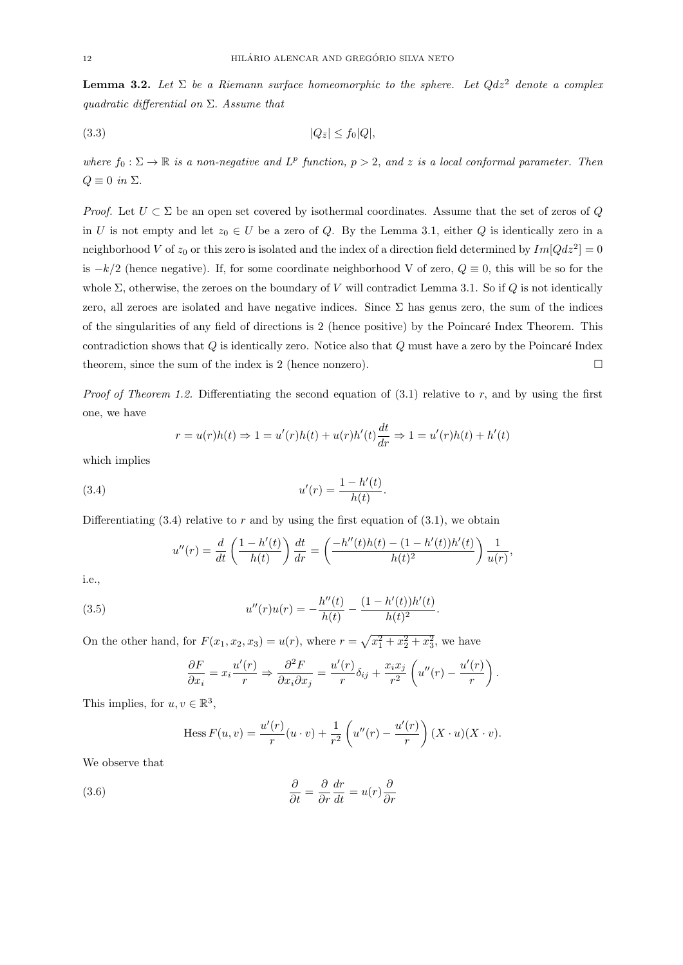**Lemma 3.2.** Let  $\Sigma$  be a Riemann surface homeomorphic to the sphere. Let  $Qdz^2$  denote a complex quadratic differential on  $\Sigma$ . Assume that

$$
(3.3) \t\t |Q_{\bar{z}}| \le f_0|Q|,
$$

where  $f_0: \Sigma \to \mathbb{R}$  is a non-negative and  $L^p$  function,  $p > 2$ , and z is a local conformal parameter. Then  $Q \equiv 0$  in  $\Sigma$ .

*Proof.* Let  $U \subset \Sigma$  be an open set covered by isothermal coordinates. Assume that the set of zeros of Q. in U is not empty and let  $z_0 \in U$  be a zero of Q. By the Lemma 3.1, either Q is identically zero in a neighborhood V of  $z_0$  or this zero is isolated and the index of a direction field determined by  $Im[Qdz^2] = 0$ is  $-k/2$  (hence negative). If, for some coordinate neighborhood V of zero,  $Q \equiv 0$ , this will be so for the whole  $\Sigma$ , otherwise, the zeroes on the boundary of V will contradict Lemma 3.1. So if Q is not identically zero, all zeroes are isolated and have negative indices. Since  $\Sigma$  has genus zero, the sum of the indices of the singularities of any field of directions is 2 (hence positive) by the Poincar´e Index Theorem. This contradiction shows that  $Q$  is identically zero. Notice also that  $Q$  must have a zero by the Poincaré Index theorem, since the sum of the index is 2 (hence nonzero).  $\Box$ 

*Proof of Theorem 1.2.* Differentiating the second equation of  $(3.1)$  relative to r, and by using the first one, we have

$$
r = u(r)h(t) \Rightarrow 1 = u'(r)h(t) + u(r)h'(t) \frac{dt}{dr} \Rightarrow 1 = u'(r)h(t) + h'(t)
$$

.

.

which implies

(3.4) 
$$
u'(r) = \frac{1 - h'(t)}{h(t)}
$$

Differentiating  $(3.4)$  relative to r and by using the first equation of  $(3.1)$ , we obtain

$$
u''(r) = \frac{d}{dt} \left( \frac{1 - h'(t)}{h(t)} \right) \frac{dt}{dr} = \left( \frac{-h''(t)h(t) - (1 - h'(t))h'(t)}{h(t)^2} \right) \frac{1}{u(r)},
$$

i.e.,

(3.5) 
$$
u''(r)u(r) = -\frac{h''(t)}{h(t)} - \frac{(1 - h'(t))h'(t)}{h(t)^2}
$$

On the other hand, for  $F(x_1, x_2, x_3) = u(r)$ , where  $r = \sqrt{x_1^2 + x_2^2 + x_3^2}$ , we have

$$
\frac{\partial F}{\partial x_i} = x_i \frac{u'(r)}{r} \Rightarrow \frac{\partial^2 F}{\partial x_i \partial x_j} = \frac{u'(r)}{r} \delta_{ij} + \frac{x_i x_j}{r^2} \left( u''(r) - \frac{u'(r)}{r} \right).
$$

This implies, for  $u, v \in \mathbb{R}^3$ ,

Hess 
$$
F(u, v) = \frac{u'(r)}{r}(u \cdot v) + \frac{1}{r^2} \left( u''(r) - \frac{u'(r)}{r} \right) (X \cdot u)(X \cdot v).
$$

We observe that

(3.6) 
$$
\frac{\partial}{\partial t} = \frac{\partial}{\partial r} \frac{dr}{dt} = u(r) \frac{\partial}{\partial r}
$$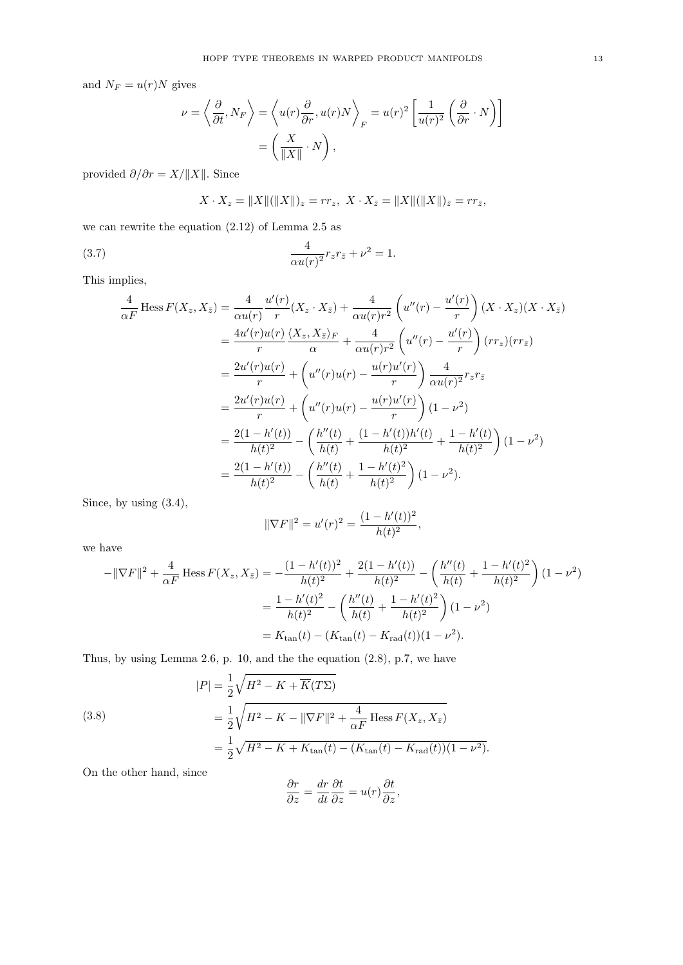and  $N_F = u(r)N$  gives

$$
\nu = \left\langle \frac{\partial}{\partial t}, N_F \right\rangle = \left\langle u(r) \frac{\partial}{\partial r}, u(r) N \right\rangle_F = u(r)^2 \left[ \frac{1}{u(r)^2} \left( \frac{\partial}{\partial r} \cdot N \right) \right]
$$

$$
= \left( \frac{X}{\|X\|} \cdot N \right),
$$

provided  $\partial/\partial r = X/\Vert X \Vert$ . Since

$$
X \cdot X_z = ||X||(||X||)_z = rr_z, \ X \cdot X_{\bar{z}} = ||X||(||X||)_{\bar{z}} = rr_{\bar{z}},
$$

we can rewrite the equation (2.12) of Lemma 2.5 as

(3.7) 
$$
\frac{4}{\alpha u(r)^2} r_z r_{\bar{z}} + \nu^2 = 1.
$$

This implies,

$$
\frac{4}{\alpha F} \operatorname{Hess} F(X_z, X_{\bar{z}}) = \frac{4}{\alpha u(r)} \frac{u'(r)}{r} (X_z \cdot X_{\bar{z}}) + \frac{4}{\alpha u(r)r^2} \left( u''(r) - \frac{u'(r)}{r} \right) (X \cdot X_z) (X \cdot X_{\bar{z}})
$$
\n
$$
= \frac{4u'(r)u(r)}{r} \frac{\langle X_z, X_{\bar{z}} \rangle_F}{\alpha} + \frac{4}{\alpha u(r)r^2} \left( u''(r) - \frac{u'(r)}{r} \right) (rr_z) (rr_{\bar{z}})
$$
\n
$$
= \frac{2u'(r)u(r)}{r} + \left( u''(r)u(r) - \frac{u(r)u'(r)}{r} \right) \frac{4}{\alpha u(r)^2} r_z r_{\bar{z}}
$$
\n
$$
= \frac{2u'(r)u(r)}{r} + \left( u''(r)u(r) - \frac{u(r)u'(r)}{r} \right) (1 - \nu^2)
$$
\n
$$
= \frac{2(1 - h'(t))}{h(t)^2} - \left( \frac{h''(t)}{h(t)} + \frac{(1 - h'(t))h'(t)}{h(t)^2} + \frac{1 - h'(t)}{h(t)^2} \right) (1 - \nu^2)
$$
\n
$$
= \frac{2(1 - h'(t))}{h(t)^2} - \left( \frac{h''(t)}{h(t)} + \frac{1 - h'(t)^2}{h(t)^2} \right) (1 - \nu^2).
$$

Since, by using (3.4),

$$
\|\nabla F\|^2 = u'(r)^2 = \frac{(1 - h'(t))^2}{h(t)^2},
$$

we have

$$
-\|\nabla F\|^2 + \frac{4}{\alpha F} \operatorname{Hess} F(X_z, X_{\bar{z}}) = -\frac{(1 - h'(t))^2}{h(t)^2} + \frac{2(1 - h'(t))}{h(t)^2} - \left(\frac{h''(t)}{h(t)} + \frac{1 - h'(t)^2}{h(t)^2}\right)(1 - \nu^2)
$$

$$
= \frac{1 - h'(t)^2}{h(t)^2} - \left(\frac{h''(t)}{h(t)} + \frac{1 - h'(t)^2}{h(t)^2}\right)(1 - \nu^2)
$$

$$
= K_{\tan}(t) - (K_{\tan}(t) - K_{\text{rad}}(t))(1 - \nu^2).
$$

Thus, by using Lemma 2.6, p. 10, and the the equation (2.8), p.7, we have

(3.8)  
\n
$$
|P| = \frac{1}{2} \sqrt{H^2 - K + \overline{K}(T\Sigma)}
$$
\n
$$
= \frac{1}{2} \sqrt{H^2 - K - \|\nabla F\|^2 + \frac{4}{\alpha F} \operatorname{Hess} F(X_z, X_{\overline{z}})}
$$
\n
$$
= \frac{1}{2} \sqrt{H^2 - K + K_{\tan}(t) - (K_{\tan}(t) - K_{\text{rad}}(t))(1 - \nu^2)}.
$$

On the other hand, since

$$
\frac{\partial r}{\partial z} = \frac{dr}{dt} \frac{\partial t}{\partial z} = u(r) \frac{\partial t}{\partial z},
$$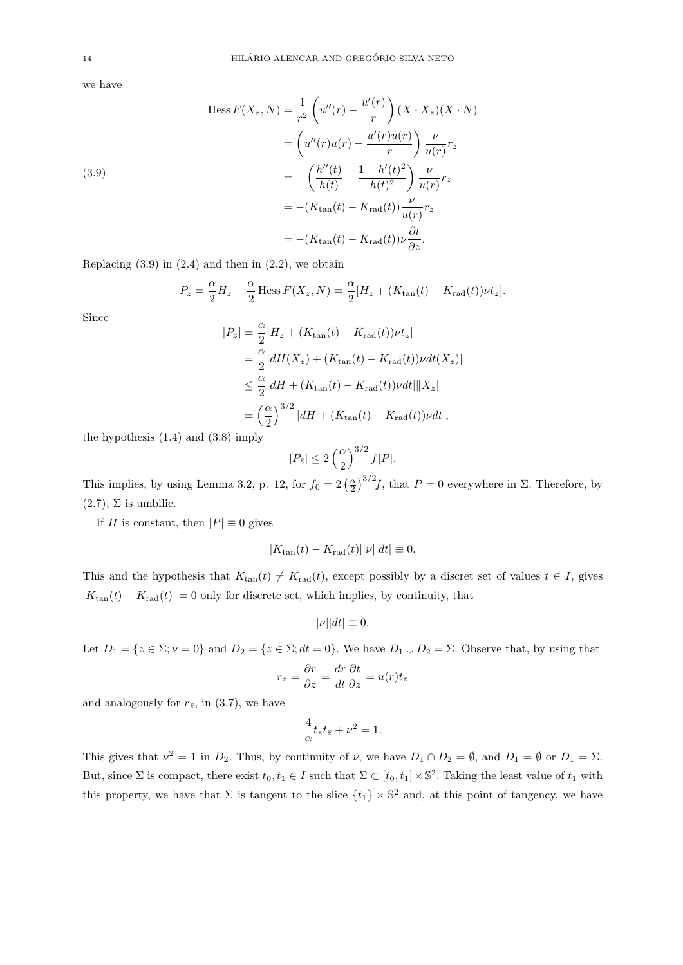we have

(3.9)  
\n
$$
\text{Hess } F(X_z, N) = \frac{1}{r^2} \left( u''(r) - \frac{u'(r)}{r} \right) (X \cdot X_z) (X \cdot N)
$$
\n
$$
= \left( u''(r) u(r) - \frac{u'(r) u(r)}{r} \right) \frac{\nu}{u(r)} r_z
$$
\n
$$
= -\left( \frac{h''(t)}{h(t)} + \frac{1 - h'(t)^2}{h(t)^2} \right) \frac{\nu}{u(r)} r_z
$$
\n
$$
= -(K_{\tan}(t) - K_{\text{rad}}(t)) \frac{\nu}{u(r)} r_z
$$
\n
$$
= -(K_{\tan}(t) - K_{\text{rad}}(t)) \nu \frac{\partial t}{\partial z}.
$$

Replacing  $(3.9)$  in  $(2.4)$  and then in  $(2.2)$ , we obtain

$$
P_{\bar{z}} = \frac{\alpha}{2}H_z - \frac{\alpha}{2} \operatorname{Hess} F(X_z, N) = \frac{\alpha}{2} [H_z + (K_{\text{tan}}(t) - K_{\text{rad}}(t)) \nu t_z].
$$

Since

$$
|P_{\bar{z}}| = \frac{\alpha}{2} |H_z + (K_{\text{tan}}(t) - K_{\text{rad}}(t))\nu t_z|
$$
  
= 
$$
\frac{\alpha}{2} |dH(X_z) + (K_{\text{tan}}(t) - K_{\text{rad}}(t))\nu dt(X_z)|
$$
  

$$
\leq \frac{\alpha}{2} |dH + (K_{\text{tan}}(t) - K_{\text{rad}}(t))\nu dt| \|X_z\|
$$
  
= 
$$
\left(\frac{\alpha}{2}\right)^{3/2} |dH + (K_{\text{tan}}(t) - K_{\text{rad}}(t))\nu dt|,
$$

the hypothesis (1.4) and (3.8) imply

$$
|P_{\bar{z}}| \le 2\left(\frac{\alpha}{2}\right)^{3/2}f|P|.
$$

This implies, by using Lemma 3.2, p. 12, for  $f_0 = 2(\frac{\alpha}{2})^{3/2}f$ , that  $P = 0$  everywhere in  $\Sigma$ . Therefore, by  $(2.7), \Sigma$  is umbilic.

If H is constant, then  $|P| \equiv 0$  gives

$$
|K_{\tan}(t) - K_{\text{rad}}(t)||\nu||dt| \equiv 0.
$$

This and the hypothesis that  $K_{tan}(t) \neq K_{rad}(t)$ , except possibly by a discret set of values  $t \in I$ , gives  $|K_{tan}(t) - K_{rad}(t)| = 0$  only for discrete set, which implies, by continuity, that

$$
|\nu||dt| \equiv 0.
$$

Let  $D_1 = \{z \in \Sigma; \nu = 0\}$  and  $D_2 = \{z \in \Sigma; dt = 0\}$ . We have  $D_1 \cup D_2 = \Sigma$ . Observe that, by using that

$$
r_z = \frac{\partial r}{\partial z} = \frac{dr}{dt} \frac{\partial t}{\partial z} = u(r)t_z
$$

and analogously for  $r_{\bar{z}}$ , in (3.7), we have

$$
\frac{4}{\alpha}t_z t_{\bar{z}} + \nu^2 = 1.
$$

This gives that  $\nu^2 = 1$  in  $D_2$ . Thus, by continuity of  $\nu$ , we have  $D_1 \cap D_2 = \emptyset$ , and  $D_1 = \emptyset$  or  $D_1 = \Sigma$ . But, since  $\Sigma$  is compact, there exist  $t_0, t_1 \in I$  such that  $\Sigma \subset [t_0, t_1] \times \mathbb{S}^2$ . Taking the least value of  $t_1$  with this property, we have that  $\Sigma$  is tangent to the slice  $\{t_1\} \times \mathbb{S}^2$  and, at this point of tangency, we have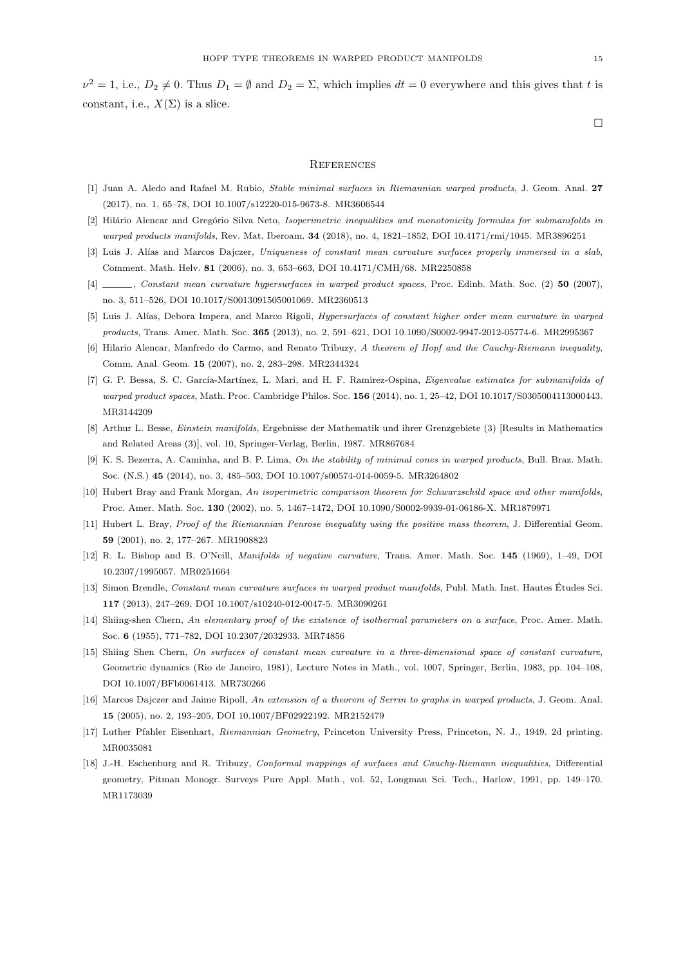$\nu^2 = 1$ , i.e.,  $D_2 \neq 0$ . Thus  $D_1 = \emptyset$  and  $D_2 = \Sigma$ , which implies  $dt = 0$  everywhere and this gives that t is constant, i.e.,  $X(\Sigma)$  is a slice.

 $\Box$ 

## **REFERENCES**

- [1] Juan A. Aledo and Rafael M. Rubio, Stable minimal surfaces in Riemannian warped products, J. Geom. Anal. 27 (2017), no. 1, 65–78, DOI 10.1007/s12220-015-9673-8. MR3606544
- [2] Hilário Alencar and Gregório Silva Neto, Isoperimetric inequalities and monotonicity formulas for submanifolds in warped products manifolds, Rev. Mat. Iberoam. 34 (2018), no. 4, 1821–1852, DOI 10.4171/rmi/1045. MR3896251
- [3] Luis J. Alías and Marcos Dajczer, Uniqueness of constant mean curvature surfaces properly immersed in a slab, Comment. Math. Helv. 81 (2006), no. 3, 653–663, DOI 10.4171/CMH/68. MR2250858
- [4] , Constant mean curvature hypersurfaces in warped product spaces, Proc. Edinb. Math. Soc. (2) 50 (2007), no. 3, 511–526, DOI 10.1017/S0013091505001069. MR2360513
- [5] Luis J. Alías, Debora Impera, and Marco Rigoli, *Hypersurfaces of constant higher order mean curvature in warped* products, Trans. Amer. Math. Soc. 365 (2013), no. 2, 591–621, DOI 10.1090/S0002-9947-2012-05774-6. MR2995367
- [6] Hilario Alencar, Manfredo do Carmo, and Renato Tribuzy, A theorem of Hopf and the Cauchy-Riemann inequality, Comm. Anal. Geom. 15 (2007), no. 2, 283–298. MR2344324
- [7] G. P. Bessa, S. C. García-Martínez, L. Mari, and H. F. Ramirez-Ospina, Eigenvalue estimates for submanifolds of warped product spaces, Math. Proc. Cambridge Philos. Soc. 156 (2014), no. 1, 25–42, DOI 10.1017/S0305004113000443. MR3144209
- [8] Arthur L. Besse, Einstein manifolds, Ergebnisse der Mathematik und ihrer Grenzgebiete (3) [Results in Mathematics and Related Areas (3)], vol. 10, Springer-Verlag, Berlin, 1987. MR867684
- [9] K. S. Bezerra, A. Caminha, and B. P. Lima, On the stability of minimal cones in warped products, Bull. Braz. Math. Soc. (N.S.) 45 (2014), no. 3, 485–503, DOI 10.1007/s00574-014-0059-5. MR3264802
- [10] Hubert Bray and Frank Morgan, An isoperimetric comparison theorem for Schwarzschild space and other manifolds, Proc. Amer. Math. Soc. 130 (2002), no. 5, 1467–1472, DOI 10.1090/S0002-9939-01-06186-X. MR1879971
- [11] Hubert L. Bray, Proof of the Riemannian Penrose inequality using the positive mass theorem, J. Differential Geom. 59 (2001), no. 2, 177–267. MR1908823
- [12] R. L. Bishop and B. O'Neill, Manifolds of negative curvature, Trans. Amer. Math. Soc. 145 (1969), 1–49, DOI 10.2307/1995057. MR0251664
- [13] Simon Brendle, Constant mean curvature surfaces in warped product manifolds, Publ. Math. Inst. Hautes Études Sci. 117 (2013), 247–269, DOI 10.1007/s10240-012-0047-5. MR3090261
- [14] Shiing-shen Chern, An elementary proof of the existence of isothermal parameters on a surface, Proc. Amer. Math. Soc. 6 (1955), 771–782, DOI 10.2307/2032933. MR74856
- [15] Shiing Shen Chern, On surfaces of constant mean curvature in a three-dimensional space of constant curvature, Geometric dynamics (Rio de Janeiro, 1981), Lecture Notes in Math., vol. 1007, Springer, Berlin, 1983, pp. 104–108, DOI 10.1007/BFb0061413. MR730266
- [16] Marcos Dajczer and Jaime Ripoll, An extension of a theorem of Serrin to graphs in warped products, J. Geom. Anal. 15 (2005), no. 2, 193–205, DOI 10.1007/BF02922192. MR2152479
- [17] Luther Pfahler Eisenhart, Riemannian Geometry, Princeton University Press, Princeton, N. J., 1949. 2d printing. MR0035081
- [18] J.-H. Eschenburg and R. Tribuzy, Conformal mappings of surfaces and Cauchy-Riemann inequalities, Differential geometry, Pitman Monogr. Surveys Pure Appl. Math., vol. 52, Longman Sci. Tech., Harlow, 1991, pp. 149–170. MR1173039